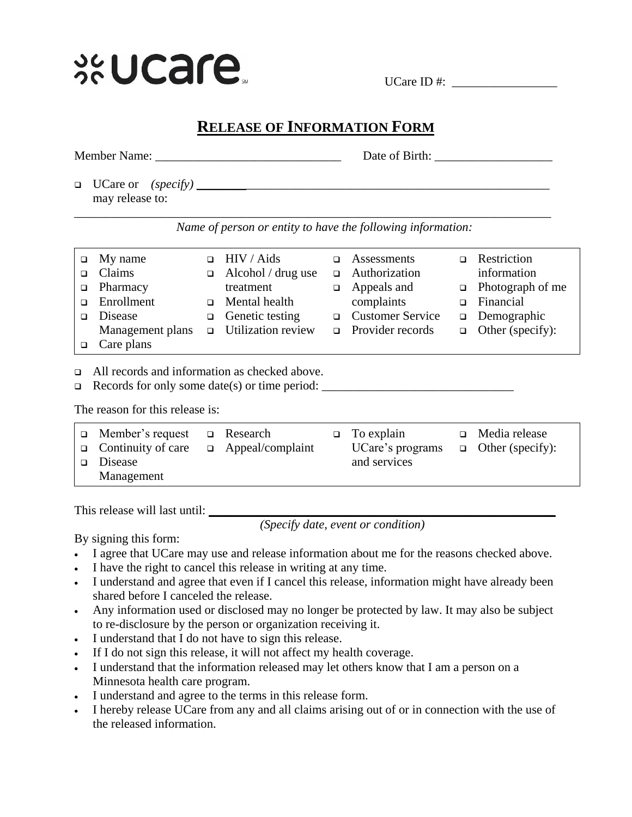

UCare ID  $\#$ :

## **RELEASE OF INFORMATION FORM**

| Member Name:               | Date of Birth:                                                                                                                                                                                                                                                                                              |
|----------------------------|-------------------------------------------------------------------------------------------------------------------------------------------------------------------------------------------------------------------------------------------------------------------------------------------------------------|
| may release to:            |                                                                                                                                                                                                                                                                                                             |
| $\epsilon$<br>$\mathbf{r}$ | $\mathbf{1}$ , $\mathbf{1}$ , $\mathbf{1}$ , $\mathbf{1}$ , $\mathbf{1}$ , $\mathbf{1}$ , $\mathbf{1}$ , $\mathbf{1}$ , $\mathbf{1}$ , $\mathbf{1}$ , $\mathbf{1}$ , $\mathbf{1}$ , $\mathbf{1}$ , $\mathbf{1}$ , $\mathbf{1}$ , $\mathbf{1}$ , $\mathbf{1}$ , $\mathbf{1}$ , $\mathbf{1}$ , $\mathbf{1}$ , |

*Name of person or entity to have the following information:*

|        | My name          |        | HIV / Aids         |        | Assessments             | Restriction             |
|--------|------------------|--------|--------------------|--------|-------------------------|-------------------------|
|        | Claims           | $\Box$ | Alcohol / drug use |        | $\Box$ Authorization    | information             |
| $\Box$ | Pharmacy         |        | treatment          | $\Box$ | Appeals and             | $\Box$ Photograph of me |
| $\Box$ | Enrollment       | $\Box$ | Mental health      |        | complaints              | Financial               |
|        | Disease          | $\Box$ | Genetic testing    |        | □ Customer Service      | $\Box$ Demographic      |
|        | Management plans | $\Box$ | Utilization review |        | $\Box$ Provider records | $\Box$ Other (specify): |
|        | Care plans       |        |                    |        |                         |                         |
|        |                  |        |                    |        |                         |                         |

All records and information as checked above.

Records for only some date(s) or time period: \_\_\_\_\_\_\_\_\_\_\_\_\_\_\_\_\_\_\_\_\_\_\_\_\_\_\_\_\_\_\_

The reason for this release is:

| $\Box$ Member's request   | □ Research              | $\Box$ To explain | $\Box$ Media release    |
|---------------------------|-------------------------|-------------------|-------------------------|
| $\Box$ Continuity of care | $\Box$ Appeal/complaint | UCare's programs  | $\Box$ Other (specify): |
| $\Box$ Disease            |                         | and services      |                         |
| Management                |                         |                   |                         |

This release will last until: **\_\_\_\_\_\_\_\_\_\_\_\_\_\_\_\_\_\_\_\_\_\_\_\_\_\_\_\_\_\_\_\_\_\_\_\_\_\_\_\_\_\_\_\_\_\_\_\_**

*(Specify date, event or condition)*

By signing this form:

- I agree that UCare may use and release information about me for the reasons checked above.
- I have the right to cancel this release in writing at any time.
- I understand and agree that even if I cancel this release, information might have already been shared before I canceled the release.
- Any information used or disclosed may no longer be protected by law. It may also be subject to re-disclosure by the person or organization receiving it.
- I understand that I do not have to sign this release.
- If I do not sign this release, it will not affect my health coverage.
- I understand that the information released may let others know that I am a person on a Minnesota health care program.
- I understand and agree to the terms in this release form.
- I hereby release UCare from any and all claims arising out of or in connection with the use of the released information.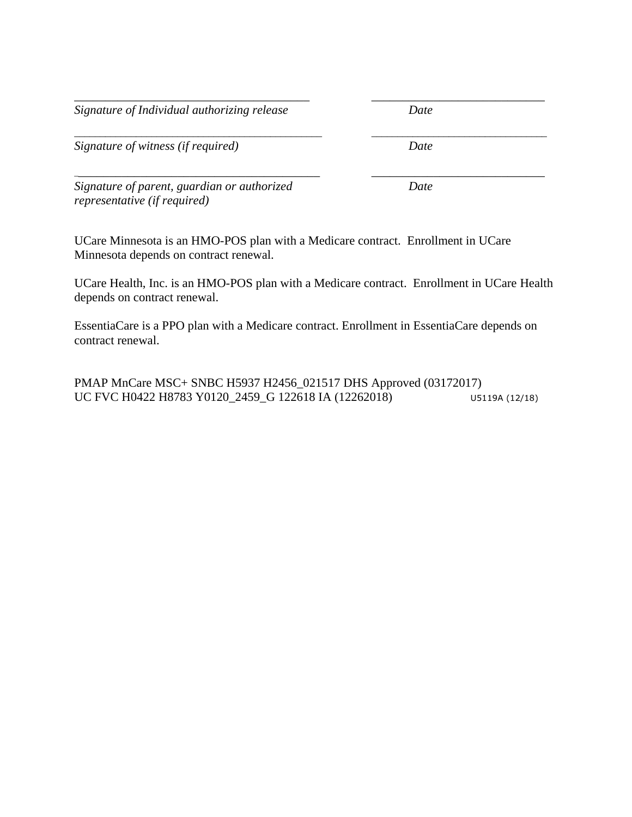*Signature of Individual authorizing release Date*

*Signature of witness (if required) Date*

*Signature of parent, guardian or authorized Date representative (if required)*

UCare Minnesota is an HMO-POS plan with a Medicare contract. Enrollment in UCare Minnesota depends on contract renewal.

UCare Health, Inc. is an HMO-POS plan with a Medicare contract. Enrollment in UCare Health depends on contract renewal.

*\_\_\_\_\_\_\_\_\_\_\_\_\_\_\_\_\_\_\_\_\_\_\_\_\_\_\_\_\_\_\_\_\_\_\_\_\_\_ \_\_\_\_\_\_\_\_\_\_\_\_\_\_\_\_\_\_\_\_\_\_\_\_\_\_\_\_*

*\_\_\_\_\_\_\_\_\_\_\_\_\_\_\_\_\_\_\_\_\_\_\_\_\_\_\_\_\_\_\_\_\_\_\_\_\_\_\_\_\_\_\_\_\_\_\_\_ \_\_\_\_\_\_\_\_\_\_\_\_\_\_\_\_\_\_\_\_\_\_\_\_\_\_\_\_\_\_\_\_\_\_*

EssentiaCare is a PPO plan with a Medicare contract. Enrollment in EssentiaCare depends on contract renewal.

PMAP MnCare MSC+ SNBC H5937 H2456\_021517 DHS Approved (03172017) UC FVC H0422 H8783 Y0120\_2459\_G 122618 IA (12262018) U5119A (12/18)

\_\_\_\_\_\_\_\_\_\_\_\_\_\_\_\_\_\_\_\_\_\_\_\_\_\_\_\_\_\_\_\_\_\_\_\_\_\_\_\_ \_\_\_\_\_\_\_\_\_\_\_\_\_\_\_\_\_\_\_\_\_\_\_\_\_\_\_\_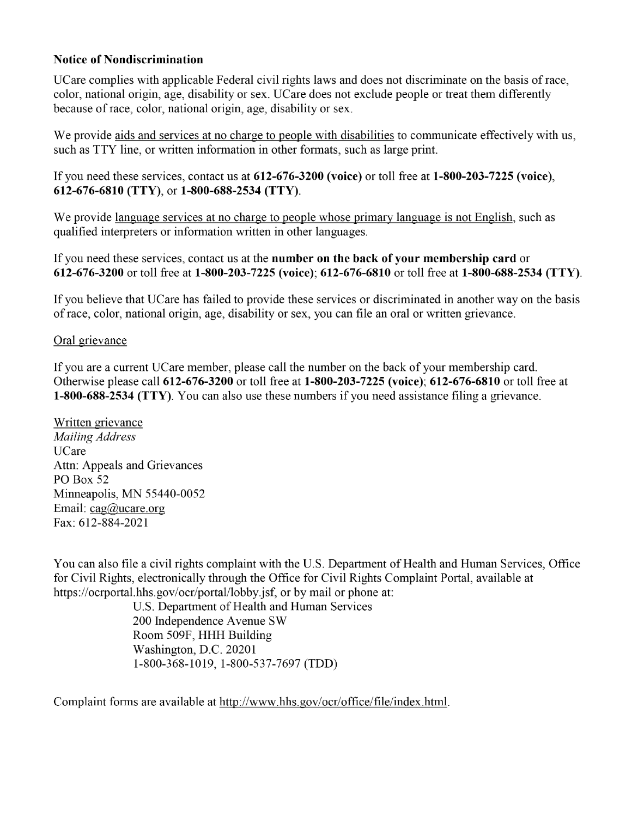## **Notice of Nondiscrimination**

UCare complies with applicable Federal civil rights laws and does not discriminate on the basis of race, color, national origin, age, disability or sex. UCare does not exclude people or treat them differently because of race, color, national origin, age, disability or sex.

We provide aids and services at no charge to people with disabilities to communicate effectively with us, such as TTY line, or written information in other formats, such as large print.

If you need these services, contact us at 612-676-3200 (voice) or toll free at 1-800-203-7225 (voice), 612-676-6810 (TTY), or 1-800-688-2534 (TTY).

We provide language services at no charge to people whose primary language is not English, such as qualified interpreters or information written in other languages.

If you need these services, contact us at the **number on the back of your membership card** or 612-676-3200 or toll free at 1-800-203-7225 (voice); 612-676-6810 or toll free at 1-800-688-2534 (TTY).

If you believe that UCare has failed to provide these services or discriminated in another way on the basis of race, color, national origin, age, disability or sex, you can file an oral or written grievance.

## Oral grievance

If you are a current UCare member, please call the number on the back of your membership card. Otherwise please call 612-676-3200 or toll free at 1-800-203-7225 (voice): 612-676-6810 or toll free at 1-800-688-2534 (TTY). You can also use these numbers if you need assistance filing a grievance.

Written grievance **Mailing Address UCare** Attn: Appeals and Grievances PO Box 52 Minneapolis, MN 55440-0052 Email:  $\text{cag@ucare.org}$ Fax: 612-884-2021

You can also file a civil rights complaint with the U.S. Department of Health and Human Services, Office for Civil Rights, electronically through the Office for Civil Rights Complaint Portal, available at https://ocrportal.hhs.gov/ocr/portal/lobby.jsf, or by mail or phone at:

U.S. Department of Health and Human Services 200 Independence Avenue SW Room 509F, HHH Building Washington, D.C. 20201 1-800-368-1019, 1-800-537-7697 (TDD)

Complaint forms are available at http://www.hhs.gov/ocr/office/file/index.html.